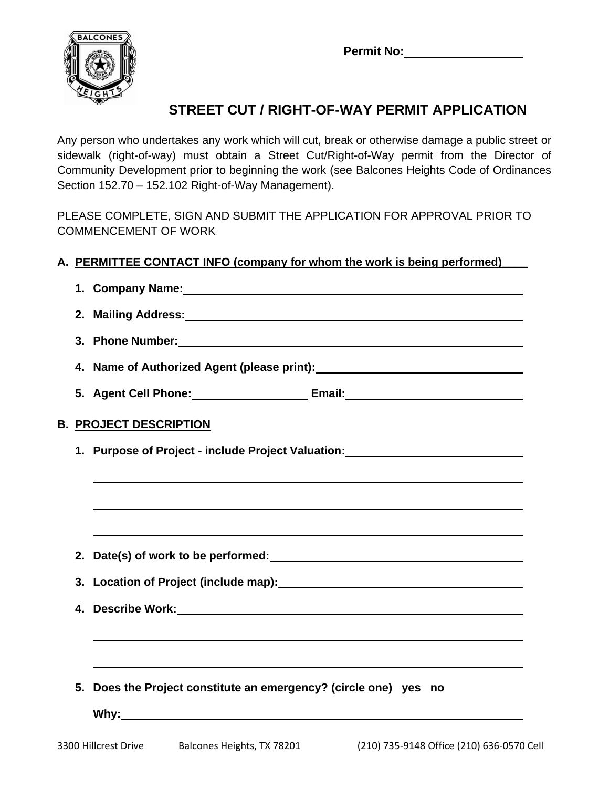**Permit No:**



## **STREET CUT / RIGHT-OF-WAY PERMIT APPLICATION**

Any person who undertakes any work which will cut, break or otherwise damage a public street or sidewalk (right-of-way) must obtain a Street Cut/Right-of-Way permit from the Director of Community Development prior to beginning the work (see Balcones Heights Code of Ordinances Section 152.70 – 152.102 Right-of-Way Management).

PLEASE COMPLETE, SIGN AND SUBMIT THE APPLICATION FOR APPROVAL PRIOR TO COMMENCEMENT OF WORK

## **A. PERMITTEE CONTACT INFO (company for whom the work is being performed)\_\_\_\_**

|                                                                                  |                                                                                                      | 1. Company Name: 1. 2008 2014 2022 2023 2024 2022 2022 2023 2024 2022 2023 2024 2022 2023 2024 2022 2023 2024                                                                                                                        |  |  |  |  |
|----------------------------------------------------------------------------------|------------------------------------------------------------------------------------------------------|--------------------------------------------------------------------------------------------------------------------------------------------------------------------------------------------------------------------------------------|--|--|--|--|
|                                                                                  |                                                                                                      |                                                                                                                                                                                                                                      |  |  |  |  |
|                                                                                  |                                                                                                      |                                                                                                                                                                                                                                      |  |  |  |  |
|                                                                                  |                                                                                                      | 4. Name of Authorized Agent (please print): Name of Authorized Agent (please print):                                                                                                                                                 |  |  |  |  |
|                                                                                  |                                                                                                      | 5. Agent Cell Phone: _________________________ Email: __________________________                                                                                                                                                     |  |  |  |  |
|                                                                                  | <b>B. PROJECT DESCRIPTION</b>                                                                        |                                                                                                                                                                                                                                      |  |  |  |  |
| 1. Purpose of Project - include Project Valuation: _____________________________ |                                                                                                      |                                                                                                                                                                                                                                      |  |  |  |  |
|                                                                                  |                                                                                                      |                                                                                                                                                                                                                                      |  |  |  |  |
|                                                                                  |                                                                                                      |                                                                                                                                                                                                                                      |  |  |  |  |
|                                                                                  |                                                                                                      |                                                                                                                                                                                                                                      |  |  |  |  |
|                                                                                  |                                                                                                      |                                                                                                                                                                                                                                      |  |  |  |  |
|                                                                                  | 3. Location of Project (include map): 2008 2010 2021 2022 2023 2024 2022 2023 2024 2022 2023 2024 20 |                                                                                                                                                                                                                                      |  |  |  |  |
|                                                                                  |                                                                                                      | 4. Describe Work: <u>Charles and Charles and Charles and Charles and Charles and Charles and Charles and Charles and Charles and Charles and Charles and Charles and Charles and Charles and Charles and Charles and Charles and</u> |  |  |  |  |
|                                                                                  |                                                                                                      | ,我们也不能在这里的时候,我们也不能在这里的时候,我们也不能会在这里的时候,我们也不能会在这里的时候,我们也不能会在这里的时候,我们也不能会在这里的时候,我们也不                                                                                                                                                    |  |  |  |  |
|                                                                                  |                                                                                                      |                                                                                                                                                                                                                                      |  |  |  |  |
|                                                                                  |                                                                                                      | 5. Does the Project constitute an emergency? (circle one) yes no                                                                                                                                                                     |  |  |  |  |
|                                                                                  |                                                                                                      |                                                                                                                                                                                                                                      |  |  |  |  |
|                                                                                  |                                                                                                      |                                                                                                                                                                                                                                      |  |  |  |  |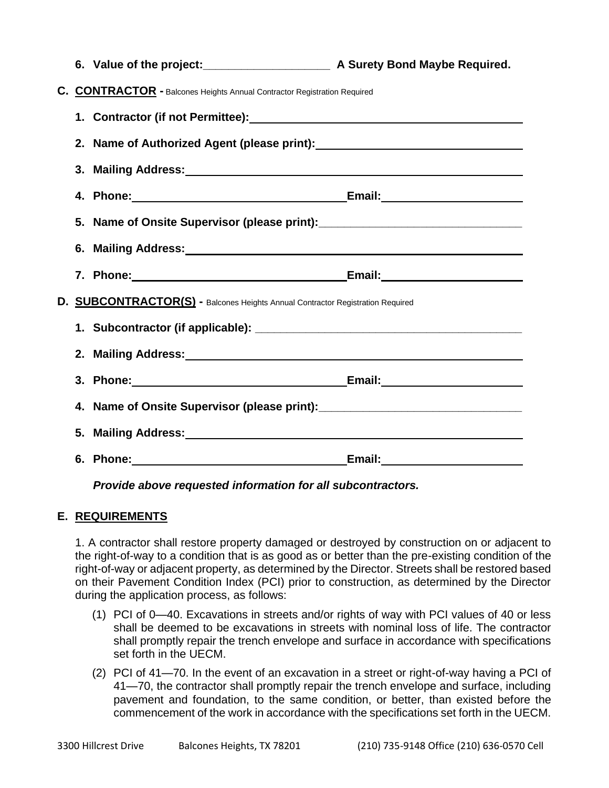|                                                                                |  | 6. Value of the project:<br><u> Land Connective Bond Maybe Required.</u> A Surety Bond Maybe Required.                                                                                                                         |  |  |
|--------------------------------------------------------------------------------|--|--------------------------------------------------------------------------------------------------------------------------------------------------------------------------------------------------------------------------------|--|--|
| C. CONTRACTOR - Balcones Heights Annual Contractor Registration Required       |  |                                                                                                                                                                                                                                |  |  |
|                                                                                |  |                                                                                                                                                                                                                                |  |  |
|                                                                                |  |                                                                                                                                                                                                                                |  |  |
|                                                                                |  | 3. Mailing Address: 2008 Communication of the Communication of the Communication of the Communication of the Communication of the Communication of the Communication of the Communication of the Communication of the Communic |  |  |
|                                                                                |  |                                                                                                                                                                                                                                |  |  |
|                                                                                |  | 5. Name of Onsite Supervisor (please print): ___________________________________                                                                                                                                               |  |  |
|                                                                                |  | 6. Mailing Address: Management of the Contract of the Contract of the Contract of the Contract of the Contract of the Contract of the Contract of the Contract of the Contract of the Contract of the Contract of the Contract |  |  |
|                                                                                |  |                                                                                                                                                                                                                                |  |  |
| D. SUBCONTRACTOR(S) - Balcones Heights Annual Contractor Registration Required |  |                                                                                                                                                                                                                                |  |  |
|                                                                                |  |                                                                                                                                                                                                                                |  |  |
|                                                                                |  |                                                                                                                                                                                                                                |  |  |
|                                                                                |  | 3. Phone: Email: Email: 2014                                                                                                                                                                                                   |  |  |
|                                                                                |  | 4. Name of Onsite Supervisor (please print): ___________________________________                                                                                                                                               |  |  |
|                                                                                |  | 5. Mailing Address: Management of the Contract of the Contract of the Contract of the Contract of the Contract of the Contract of the Contract of the Contract of the Contract of the Contract of the Contract of the Contract |  |  |
|                                                                                |  |                                                                                                                                                                                                                                |  |  |

*Provide above requested information for all subcontractors.*

## **E. REQUIREMENTS**

1. A contractor shall restore property damaged or destroyed by construction on or adjacent to the right-of-way to a condition that is as good as or better than the pre-existing condition of the right-of-way or adjacent property, as determined by the Director. Streets shall be restored based on their Pavement Condition Index (PCI) prior to construction, as determined by the Director during the application process, as follows:

- (1) PCI of 0—40. Excavations in streets and/or rights of way with PCI values of 40 or less shall be deemed to be excavations in streets with nominal loss of life. The contractor shall promptly repair the trench envelope and surface in accordance with specifications set forth in the UECM.
- (2) PCI of 41—70. In the event of an excavation in a street or right-of-way having a PCI of 41—70, the contractor shall promptly repair the trench envelope and surface, including pavement and foundation, to the same condition, or better, than existed before the commencement of the work in accordance with the specifications set forth in the UECM.